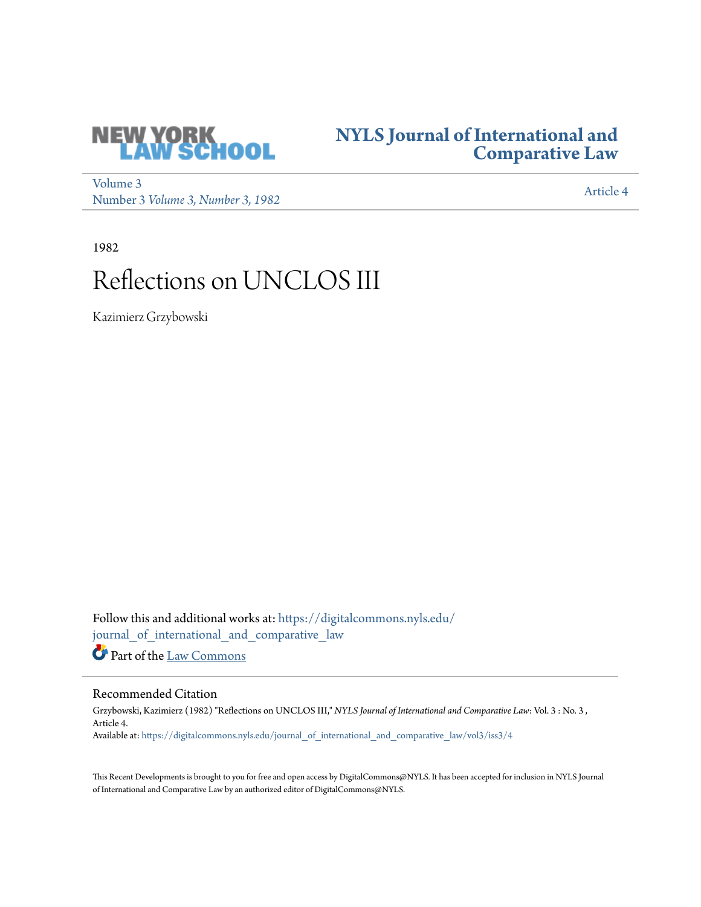

## **[NYLS Journal of International and](https://digitalcommons.nyls.edu/journal_of_international_and_comparative_law?utm_source=digitalcommons.nyls.edu%2Fjournal_of_international_and_comparative_law%2Fvol3%2Fiss3%2F4&utm_medium=PDF&utm_campaign=PDFCoverPages) [Comparative Law](https://digitalcommons.nyls.edu/journal_of_international_and_comparative_law?utm_source=digitalcommons.nyls.edu%2Fjournal_of_international_and_comparative_law%2Fvol3%2Fiss3%2F4&utm_medium=PDF&utm_campaign=PDFCoverPages)**

[Volume 3](https://digitalcommons.nyls.edu/journal_of_international_and_comparative_law/vol3?utm_source=digitalcommons.nyls.edu%2Fjournal_of_international_and_comparative_law%2Fvol3%2Fiss3%2F4&utm_medium=PDF&utm_campaign=PDFCoverPages) volume 3<br>Number 3 *[Volume 3, Number 3, 1982](https://digitalcommons.nyls.edu/journal_of_international_and_comparative_law/vol3/iss3?utm_source=digitalcommons.nyls.edu%2Fjournal_of_international_and_comparative_law%2Fvol3%2Fiss3%2F4&utm_medium=PDF&utm_campaign=PDFCoverPages)* [Article 4](https://digitalcommons.nyls.edu/journal_of_international_and_comparative_law/vol3/iss3/4?utm_source=digitalcommons.nyls.edu%2Fjournal_of_international_and_comparative_law%2Fvol3%2Fiss3%2F4&utm_medium=PDF&utm_campaign=PDFCoverPages)

1982

# Reflections on UNCLOS III

Kazimierz Grzybowski

Follow this and additional works at: [https://digitalcommons.nyls.edu/](https://digitalcommons.nyls.edu/journal_of_international_and_comparative_law?utm_source=digitalcommons.nyls.edu%2Fjournal_of_international_and_comparative_law%2Fvol3%2Fiss3%2F4&utm_medium=PDF&utm_campaign=PDFCoverPages) [journal\\_of\\_international\\_and\\_comparative\\_law](https://digitalcommons.nyls.edu/journal_of_international_and_comparative_law?utm_source=digitalcommons.nyls.edu%2Fjournal_of_international_and_comparative_law%2Fvol3%2Fiss3%2F4&utm_medium=PDF&utm_campaign=PDFCoverPages)

Part of the [Law Commons](http://network.bepress.com/hgg/discipline/578?utm_source=digitalcommons.nyls.edu%2Fjournal_of_international_and_comparative_law%2Fvol3%2Fiss3%2F4&utm_medium=PDF&utm_campaign=PDFCoverPages)

### Recommended Citation

Grzybowski, Kazimierz (1982) "Reflections on UNCLOS III," *NYLS Journal of International and Comparative Law*: Vol. 3 : No. 3 , Article 4. Available at: [https://digitalcommons.nyls.edu/journal\\_of\\_international\\_and\\_comparative\\_law/vol3/iss3/4](https://digitalcommons.nyls.edu/journal_of_international_and_comparative_law/vol3/iss3/4?utm_source=digitalcommons.nyls.edu%2Fjournal_of_international_and_comparative_law%2Fvol3%2Fiss3%2F4&utm_medium=PDF&utm_campaign=PDFCoverPages)

This Recent Developments is brought to you for free and open access by DigitalCommons@NYLS. It has been accepted for inclusion in NYLS Journal of International and Comparative Law by an authorized editor of DigitalCommons@NYLS.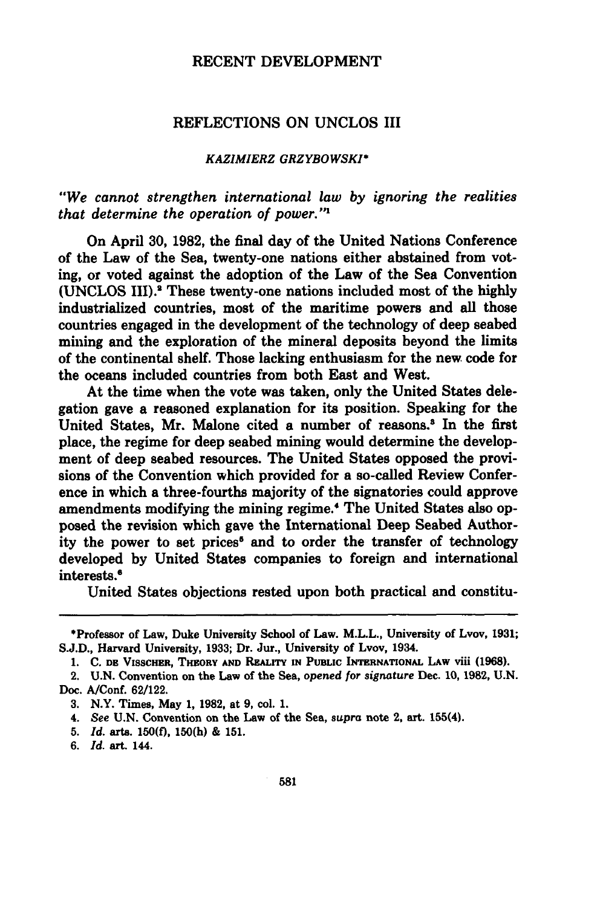#### RECENT DEVELOPMENT

#### REFLECTIONS ON UNCLOS III

#### *KAZIMIERZ GRZYBOWSKI\**

#### *"We cannot strengthen international law by ignoring the realities that determine the operation of power."1*

On April **30, 1982,** the final day of the United Nations Conference of the Law of the Sea, twenty-one nations either abstained from voting, or voted against the adoption of the Law of the Sea Convention **(UNCLOS III).1** These twenty-one nations included most of the **highly** industrialized countries, most of the maritime powers and all those countries engaged in the development of the technology of deep seabed mining and the exploration of the mineral deposits beyond the limits of the continental shelf. Those lacking enthusiasm for the new code for the oceans included countries from both East and West.

At the time when the vote was taken, only the United States delegation gave a reasoned explanation for its position. Speaking for the United States, Mr. Malone cited a number of reasons.<sup>3</sup> In the first place, the regime for deep seabed mining would determine the development of deep seabed resources. The United States opposed the provisions of the Convention which provided for a so-called Review Conference in which a three-fourths majority of the signatories could approve amendments modifying the mining regime.4 The United States also opposed the revision which gave the International Deep Seabed Authority the power to set prices<sup>6</sup> and to order the transfer of technology developed by United States companies to foreign and international interests.'

United States objections rested upon both practical and constitu-

<sup>\*</sup>Professor of Law, Duke University School of Law. M.L.L., University of Lvov, **1931; S.J.D.,** Harvard University, **1933;** Dr. Jur., University of Lvov, 1934.

**<sup>1.</sup> C. DE** VisscHER, THEORY **AND** REALITY **IN PUBLIC INTERNATIONAL** LAW viii **(1968).**

<sup>2.</sup> **U.N.** Convention on the Law of the Sea, *opened for signature* Dec. **10, 1982, U.N.** Doc. A/Conf. **62/122.**

**<sup>3.</sup>** N.Y. Times, May **1, 1982,** at **9,** col. **1.**

<sup>4.</sup> *See* **U.N.** Convention on the Law of the Sea, *supra* note 2, art. 155(4).

*<sup>5.</sup> Id.* arts. **150(f), 150(h) & 151.**

*<sup>6.</sup> Id.* art. 144.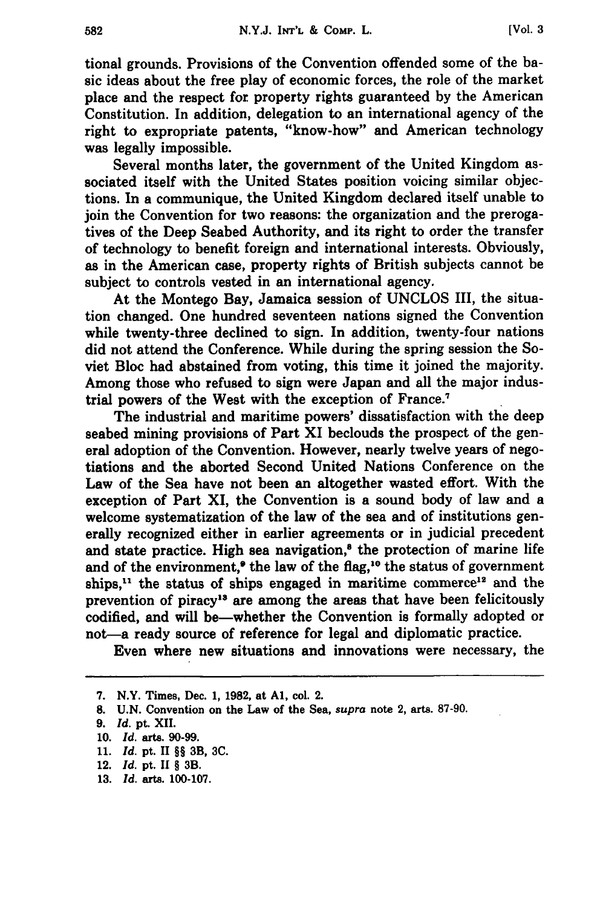**[Vol. 3**

tional grounds. Provisions of the Convention offended some of the basic ideas about the free play of economic forces, the role of the market place and the respect for property rights guaranteed **by** the American Constitution. In addition, delegation to an international agency of the right to expropriate patents, "know-how" and American technology was legally impossible.

Several months later, the government of the United Kingdom associated itself with the United States position voicing similar objections. In a communique, the United Kingdom declared itself unable to join the Convention for two reasons: the organization and the prerogatives of the Deep Seabed Authority, and its right to order the transfer of technology to benefit foreign and international interests. Obviously, as in the American case, property rights of British subjects cannot be subject to controls vested in an international agency.

At the Montego Bay, Jamaica session of **UNCLOS** III, the situation changed. One hundred seventeen nations signed the Convention while twenty-three declined to sign. In addition, twenty-four nations did not attend the Conference. While during the spring session the Soviet Bloc had abstained from voting, this time it joined the majority. Among those who refused to sign were Japan and all the major industrial powers of the West with the exception of France.7

The industrial and maritime powers' dissatisfaction with the deep seabed mining provisions of Part XI beclouds the prospect of the general adoption of the Convention. However, nearly twelve years of negotiations and the aborted Second United Nations Conference on the Law of the Sea have not been an altogether wasted effort. With the exception of Part XI, the Convention is a sound body of law and a welcome systematization of the law of the sea and of institutions generally recognized either in earlier agreements or in judicial precedent and state practice. High sea navigation,<sup>8</sup> the protection of marine life and of the environment,<sup> $\bullet$ </sup> the law of the flag,<sup>10</sup> the status of government ships,<sup>11</sup> the status of ships engaged in maritime commerce<sup>12</sup> and the prevention of piracy<sup>13</sup> are among the areas that have been felicitously codified, and will be-whether the Convention is formally adopted or not—a ready source of reference for legal and diplomatic practice.

Even where new situations and innovations were necessary, the

**8. U.N.** Convention on the Law of the Sea, *supra* note 2, arts. **87-90.**

**11.** *Id.* pt. II §§ 3B, **3C.**

**13.** *Id.* arts. **100-107.**

**<sup>7.</sup>** N.Y. Times, Dec. **1, 1982,** at **Al,** col. 2.

**<sup>9.</sup>** *Id.* **pt.** XII.

**<sup>10.</sup>** *Id.* arts. **90-99.**

<sup>12.</sup> *Id.* pt. **II** § 3B.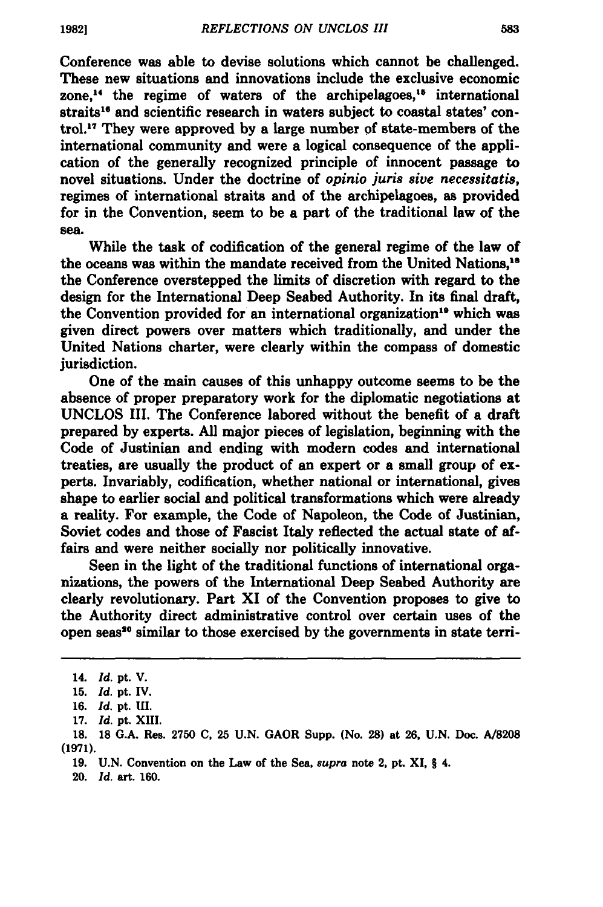Conference was able to devise solutions which cannot be challenged. These new situations and innovations include the exclusive economic zone,<sup>14</sup> the regime of waters of the archipelagoes,<sup>15</sup> international straits<sup>16</sup> and scientific research in waters subject to coastal states' control.1 7 They were approved **by** a large number **of** state-members of the international community and were a logical consequence of the application of the generally recognized principle of innocent passage to novel situations. Under the doctrine of *opinio juris sive necessitatis,* regimes of international straits and of the archipelagoes, as provided for in the Convention, seem to be a part of the traditional law of the sea.

While the task of codification of the general regime of the law of the oceans was within the mandate received from the United Nations, " the Conference overstepped the limits of discretion with regard to the design for the International Deep Seabed Authority. In its final draft, the Convention provided for an international organization<sup>19</sup> which was given direct powers over matters which traditionally, and under the United Nations charter, were clearly within the compass of domestic jurisdiction.

One of the main causes of this unhappy outcome seems to be the absence of proper preparatory work for the diplomatic negotiations at **UNCLOS** III. The Conference labored without the benefit of a draft prepared **by** experts. **All** major pieces of legislation, beginning with the Code of Justinian and ending with modern codes and international treaties, are usually the product of an expert or a small group of experts. Invariably, codification, whether national or international, gives shape to earlier social and political transformations which were already a reality. For example, the Code of Napoleon, the Code of Justinian, Soviet codes and those of Fascist Italy reflected the actual state of affairs and were neither socially nor politically innovative.

Seen in the light of the traditional functions of international organizations, the powers of the International Deep Seabed Authority are clearly revolutionary. Part XI of the Convention proposes to give to the Authority direct administrative control over certain uses of the open seas<sup>20</sup> similar to those exercised by the governments in state terri-

**17.** *Id.* pt. **XIII.**

- **19. U.N.** Convention on the Law of the Sea, *supra* note 2, pt. XI, § 4.
- 20. *ld.* art. **160.**

**<sup>14.</sup>** *Id.* pt. **V.**

**<sup>15.</sup>** Id. **pt. IV.**

**<sup>16.</sup>** *Id.* **pt. 111.**

**<sup>18. 18</sup> G.A.** Res. **2750 C, 25 U.N.** GAOR Supp. (No. **28)** at **26, U.N.** Doe. **A/8208 (1971).**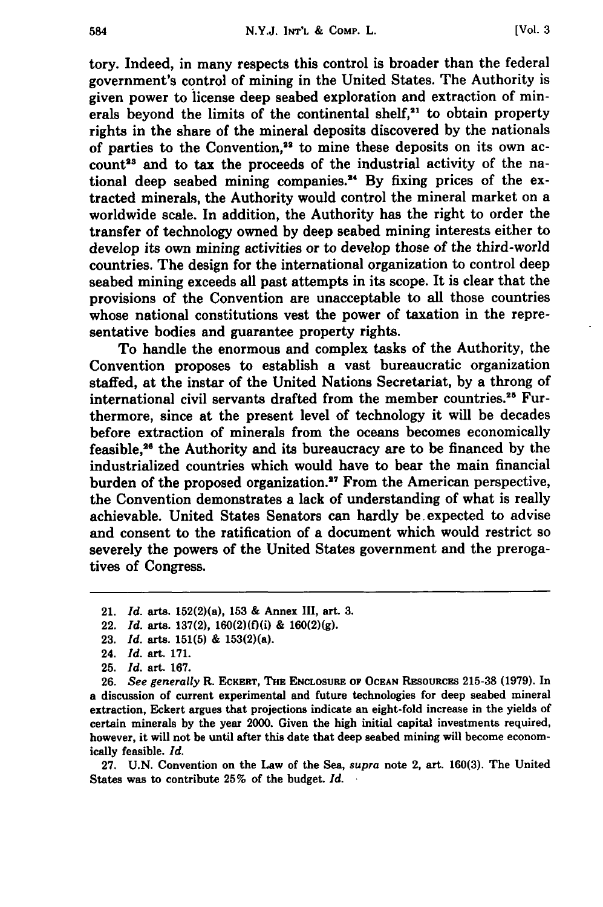tory. Indeed, in many respects this control is broader than the federal government's control of mining in the United States. The Authority is given power to license deep seabed exploration and extraction of minerals beyond the limits of the continental shelf, $21$  to obtain property rights in the share of the mineral deposits discovered **by** the nationals of parties to the Convention,<sup>22</sup> to mine these deposits on its own account<sup>23</sup> and to tax the proceeds of the industrial activity of the national deep seabed mining companies.<sup>24</sup> By fixing prices of the extracted minerals, the Authority would control the mineral market on a worldwide scale. In addition, the Authority has the right to order the transfer of technology owned **by** deep seabed mining interests either to develop its own mining activities or to develop those of the third-world countries. The design for the international organization to control deep seabed mining exceeds all past attempts in its scope. It is clear that the provisions of the Convention are unacceptable to all those countries whose national constitutions vest the power of taxation in the representative bodies and guarantee property rights.

To handle the enormous and complex tasks of the Authority, the Convention proposes to establish a vast bureaucratic organization staffed, at the instar of the United Nations Secretariat, **by** a throng of international civil servants drafted from the member countries. 25 Furthermore, since at the present level of technology it will be decades before extraction of minerals from the oceans becomes economically feasible,2" the Authority and its bureaucracy are to be financed **by** the industrialized countries which would have to bear the main financial burden of the proposed organization.<sup>27</sup> From the American perspective, the Convention demonstrates a lack of understanding of what is really achievable. United States Senators can hardly be.expected to advise and consent to the ratification of a document which would restrict so severely the powers of the United States government and the prerogatives of Congress.

- 22. *Id.* arts. **137(2),** 160(2)(f)(i) **& 160(2)(g).**
- **23.** *Id.* arts. **151(5) &** 153(2)(a).

**26.** *See generally* R. **ECKERT, THE ENCLOSURE OF OCEAN RESOURCES 215-38 (1979).** In a discussion of current experimental and future technologies for deep seabed mineral extraction, Eckert argues that projections indicate an eight-fold increase in the yields of certain minerals **by** the year 2000. Given the high initial capital investments required, however, it will not be until after this date that deep seabed mining will become economically feasible. *Id.*

**27. U.N.** Convention on the Law of the Sea, *supra* note 2, art. **160(3).** The United States was to contribute **25%** of the budget. *Id.*

<sup>21.</sup> *Id.* arts. 152(2)(a), **153 &** Annex III, art. **3.**

<sup>24.</sup> *Id.* art. **171.**

**<sup>25.</sup>** *Id.* art. **167.**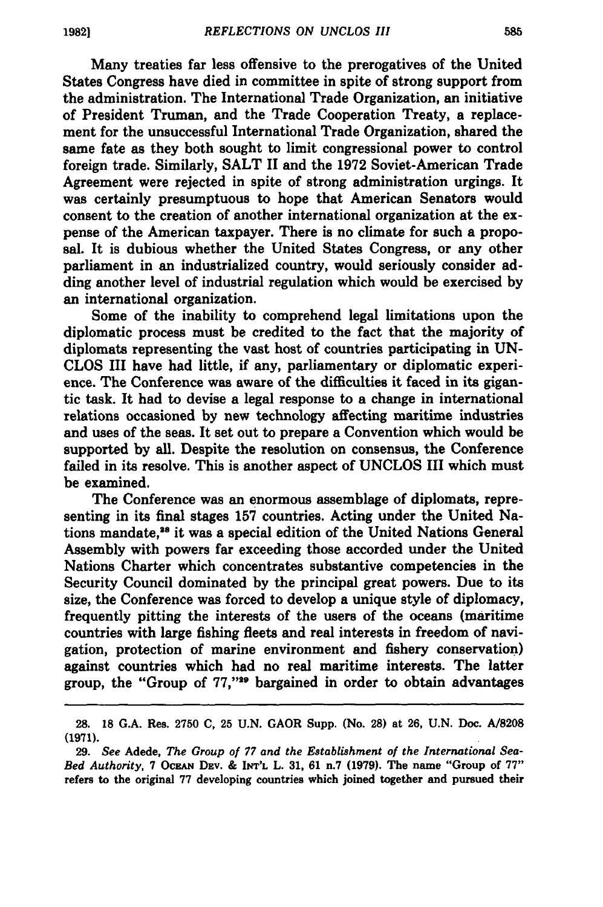Many treaties far less offensive to the prerogatives of the United States Congress have died in committee in spite of strong support from the administration. The International Trade Organization, an initiative of President Truman, and the Trade Cooperation Treaty, a replacement for the unsuccessful International Trade Organization, shared the same fate as they both sought to limit congressional power to control foreign trade. Similarly, **SALT** II and the **1972** Soviet-American Trade Agreement were rejected in spite of strong administration urgings. It was certainly presumptuous to hope that American Senators would consent to the creation of another international organization at the expense of the American taxpayer. There is no climate for such a proposal. It is dubious whether the United States Congress, or any other parliament in an industrialized country, would seriously consider adding another level of industrial regulation which would be exercised **by** an international organization.

Some of the inability to comprehend legal limitations upon the diplomatic process must be credited to the fact that the majority of diplomats representing the vast host of countries participating in **UN-CLOS** III have had little, if any, parliamentary or diplomatic experience. The Conference was aware of the difficulties it faced in its gigantic task. It had to devise a legal response to a change in international relations occasioned by new technology affecting maritime industries and uses of the seas. It set out to prepare a Convention which would be supported by all. Despite the resolution on consensus, the Conference failed in its resolve. This is another aspect of UNCLOS III which must be examined.

The Conference was an enormous assemblage of diplomats, representing in its final stages **157** countries. Acting under the United Nations mandate,<sup>38</sup> it was a special edition of the United Nations General Assembly with powers far exceeding those accorded under the United Nations Charter which concentrates substantive competencies in the Security Council dominated by the principal great powers. Due to its size, the Conference was forced to develop a unique style of diplomacy, frequently pitting the interests of the users of the oceans (maritime countries with large fishing fleets and real interests in freedom of navigation, protection of marine environment and fishery conservation) against countries which had no real maritime interests. The latter group, the "Group of 77,"<sup>29</sup> bargained in order to obtain advantages

**<sup>28. 18</sup>** G.A. Res. **2750** C, 25 U.N. GAOR Supp. (No. **28)** at **26,** U.N. Doc. A/8208 **(1971).**

**<sup>29.</sup>** *See* Adede, *The Group of 77 and the Establishment of the International Sea-Bed Authority,* **7 OCEAN DEv. & INT'L** L. **31, 61** n.7 **(1979).** The name "Group of **77"** refers to the original **77** developing countries which joined together and pursued their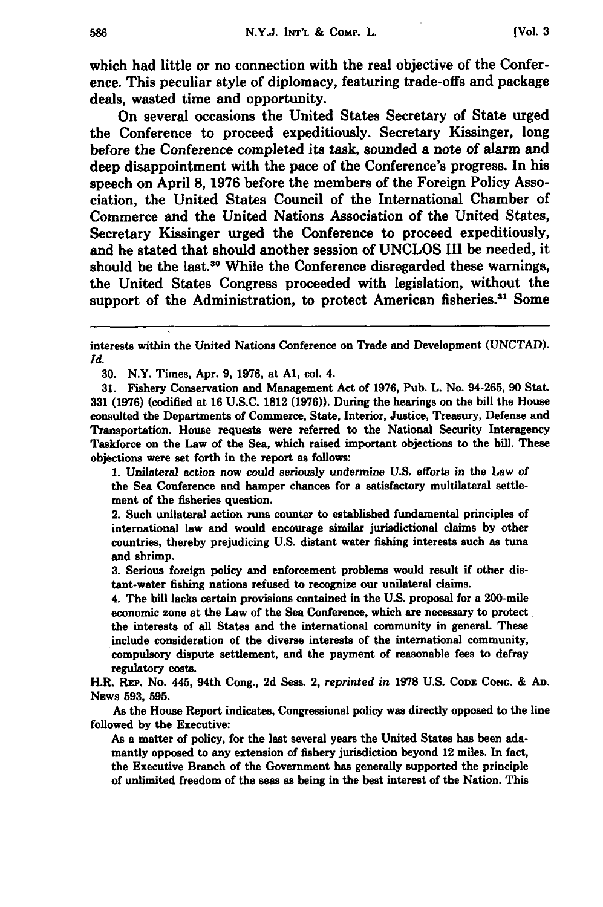which had little or no connection with the real objective of the Conference. This peculiar style of diplomacy, featuring trade-offs and package deals, wasted time and opportunity.

On several occasions the United States Secretary of State urged the Conference to proceed expeditiously. Secretary Kissinger, long before the Conference completed its task, sounded a note of alarm and deep disappointment with the pace of the Conference's progress. In his speech on April **8, 1976** before the members of the Foreign Policy Association, the United States Council of the International Chamber of Commerce and the United Nations Association of the United States, Secretary Kissinger urged the Conference to proceed expeditiously, and he stated that should another session of **UNCLOS** III be needed, it should be the last.<sup>30</sup> While the Conference disregarded these warnings, the United States Congress proceeded with legislation, without the support of the Administration, to protect American fisheries.<sup>31</sup> Some

**30.** N.Y. Times, Apr. **9, 1976,** at **Al,** col. 4.

**31.** Fishery Conservation and Management Act of **1976,** Pub. L. No. 94-265, **90** Stat. **331 (1976)** (codified at **16 U.S.C. 1812 (1976)).** During the hearings on the bill the House consulted the Departments of Commerce, State, Interior, Justice, Treasury, Defense and Transportation. House requests were referred to the National Security Interagency Taskforce on the Law of the Sea, which raised important objections to the bill. These objections were set forth in the report as follows:

**1.** Unilateral action now could seriously undermine **U.S.** efforts in the Law of the Sea Conference and hamper chances for a satisfactory multilateral settlement of the fisheries question.

2. Such unilateral action runs counter to established fundamental principles of international law and would encourage similar jurisdictional claims **by** other countries, thereby prejudicing **U.S.** distant water fishing interests such as tuna and shrimp.

**3.** Serious foreign policy and enforcement problems would result if other distant-water fishing nations refused to recognize our unilateral claims.

4. The **bill** lacks certain provisions contained in the **U.S.** proposal for a 200-mile economic zone at the Law of the Sea Conference, which are necessary to protect the interests of all States and the international community in general. These include consideration of the diverse interests of the international community, compulsory dispute settlement, and the payment of reasonable fees to defray regulatory costs.

H.R. REP. No. 445, 94th Cong., **2d** Sess. **2,** *reprinted in* **1978 U.S. CODE CONG. & AD.** NEws **593, 595.**

As the House Report indicates, Congressional policy was directly opposed to the line followed **by** the Executive:

As a matter of policy, for the last several years the United States has been adamantly opposed to any extension of fishery jurisdiction beyond 12 miles. In fact, the Executive Branch of the Government has generally supported the principle of unlimited freedom of the seas as being in the best interest of the Nation. This

interests within the United Nations Conference on Trade and Development **(UNCTAD).** *Id.*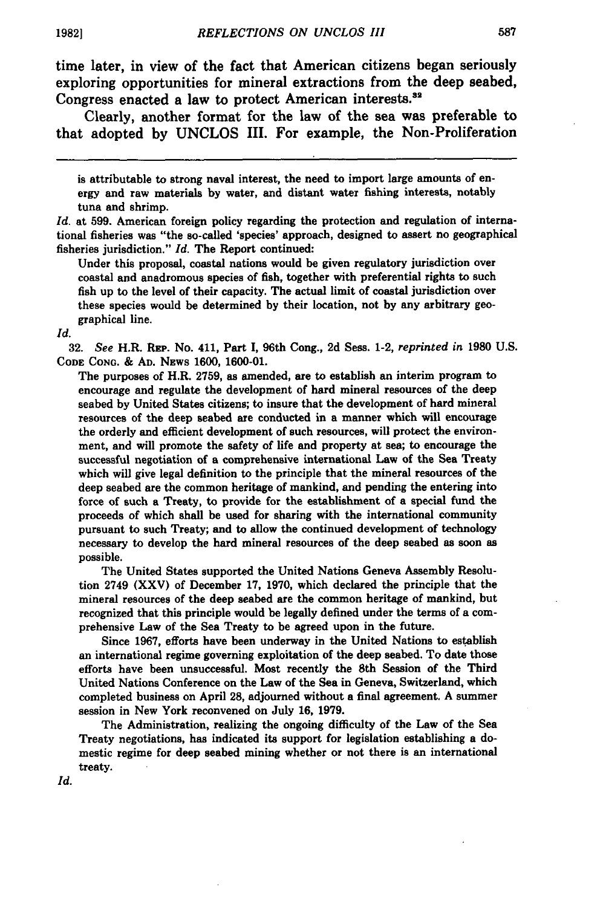time later, in view of the fact that American citizens began seriously exploring opportunities for mineral extractions from the deep seabed, Congress enacted a law to protect American interests.<sup>32</sup>

Clearly, another format for the law of the sea was preferable to that adopted **by UNCLOS** III. For example, the Non-Proliferation

is attributable to strong naval interest, the need to import large amounts of energy and raw materials **by** water, and distant water fishing interests, notably tuna and shrimp.

*Id.* at **599.** American foreign policy regarding the protection and regulation of international fisheries was "the so-called 'species' approach, designed to assert no geographical fisheries jurisdiction." *Id.* The Report continued:

Under this proposal, coastal nations would be given regulatory jurisdiction over coastal and anadromous species of fish, together with preferential rights to such fish up to the level of their capacity. The actual limit of coastal jurisdiction over these species would be determined **by** their location, not **by** any arbitrary geographical line.

*Id.*

**32.** *See* H.R. REP. No. 411, Part **I,** 96th Cong., **2d** Sess. 1-2, *reprinted in* **1980 U.S. CODE CONG. & AD.** NEws **1600, 1600-01.**

The purposes of H.R. **2759,** as amended, are to establish an interim program to encourage and regulate the development of hard mineral resources of the deep seabed **by** United States citizens; to insure that the development of hard mineral resources of the deep seabed are conducted in a manner which **will** encourage the orderly and efficient development of such resources, will protect the environment, and will promote the safety of life and property at sea; to encourage the successful negotiation of a comprehensive international Law of the Sea Treaty which will give legal definition to the principle that the mineral resources of the deep seabed are the common heritage of mankind, and pending the entering into force of such a Treaty, to provide for the establishment of a special fund the proceeds of which shall be used for sharing with the international community pursuant to such Treaty; and to allow the continued development of technology necessary to develop the hard mineral resources of the deep seabed as soon as possible.

The United States supported the United Nations Geneva Assembly Resolution 2749 (XXV) of December **17, 1970,** which declared the principle that the mineral resources of the deep seabed are the common heritage of mankind, but recognized that this principle would be legally defined under the terms of a comprehensive Law of the Sea Treaty to be agreed upon in the future.

Since **1967,** efforts have been underway in the United Nations to establish an international regime governing exploitation of the deep seabed. To date those efforts have been unsuccessful. Most recently the 8th Session of the Third United Nations Conference on the Law of the Sea in Geneva, Switzerland, which completed business on April **28,** adjourned without a final agreement. **A** summer session in New York reconvened on July **16, 1979.**

The Administration, realizing the ongoing difficulty of the Law of the Sea Treaty negotiations, has indicated its support for legislation establishing a domestic regime for deep seabed mining whether or not there is an international treaty.

Id.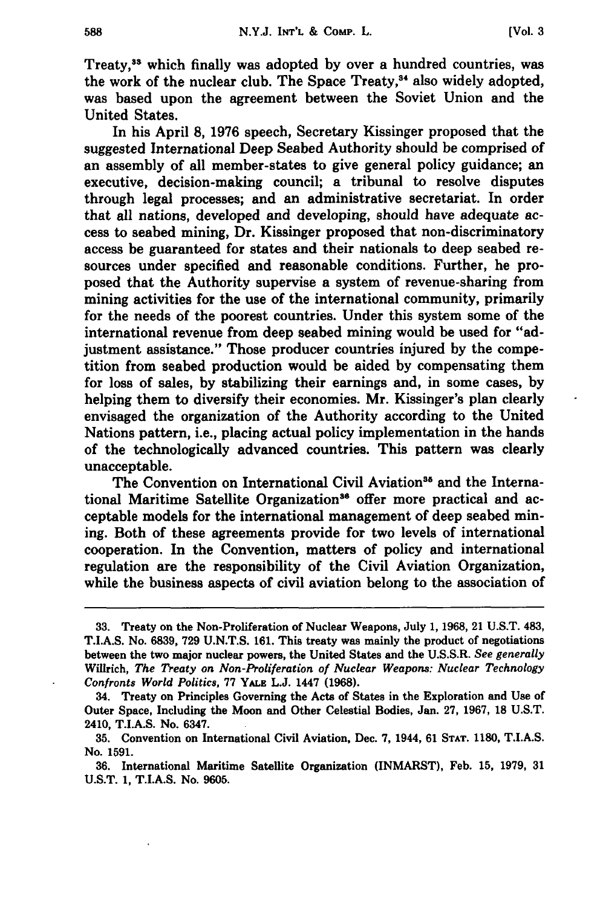Treaty,38 which finally was adopted **by** over a hundred countries, was the work of the nuclear club. The Space Treaty,<sup>34</sup> also widely adopted, was based upon the agreement between the Soviet Union and the United States.

In his April **8, 1976** speech, Secretary Kissinger proposed that the suggested International Deep Seabed Authority should be comprised of an assembly of all member-states to give general policy guidance; an executive, decision-making council; a tribunal to resolve disputes through legal processes; and an administrative secretariat. In order that all nations, developed and developing, should have adequate access to seabed mining, Dr. Kissinger proposed that non-discriminatory access be guaranteed for states and their nationals to deep seabed resources under specified and reasonable conditions. Further, he proposed that the Authority supervise a system of revenue-sharing from mining activities for the use of the international community, primarily for the needs of the poorest countries. Under this system some of the international revenue from deep seabed mining would be used for "adjustment assistance." Those producer countries injured by the competition from seabed production would be aided by compensating them for loss of sales, by stabilizing their earnings and, in some cases, by helping them to diversify their economies. Mr. Kissinger's plan clearly envisaged the organization of the Authority according to the United Nations pattern, i.e., placing actual policy implementation in the hands of the technologically advanced countries. This pattern was clearly unacceptable.

The Convention on International Civil Aviation<sup>35</sup> and the International Maritime Satellite Organization<sup>36</sup> offer more practical and acceptable models for the international management of deep seabed mining. Both of these agreements provide for two levels of international cooperation. In the Convention, matters of policy and international regulation are the responsibility of the Civil Aviation Organization, while the business aspects of civil aviation belong to the association of

**<sup>33.</sup>** Treaty on the Non-Proliferation of Nuclear Weapons, July **1, 1968,** 21 **U.S.T.** 483, T.I.A.S. No. **6839, 729 U.N.T.S. 161.** This treaty was mainly the product of negotiations between the two major nuclear powers, the United States and the **U.S.S.R.** *See generally* Willrich, *The Treaty on Non-Proliferation of Nuclear Weapons: Nuclear Technology Confronts World Politics,* **77** YALE **L.J.** 1447 **(1968).**

<sup>34.</sup> Treaty on Principles Governing the Acts of States in the Exploration and Use of Outer Space, Including the Moon and Other Celestial Bodies, Jan. **27, 1967, 18 U.S.T.** 2410, T.I.A.S. No. **6347.**

**<sup>35.</sup>** Convention on International Civil Aviation, Dec. **7,** 1944, **61 STAT. 1180, T.I.A.S.** No. **1591.**

**<sup>36.</sup>** International Maritime Satellite Organization (INMARST), Feb. **15, 1979, 31 U.S.T. 1, T.I.A.S.** No. **9605.**